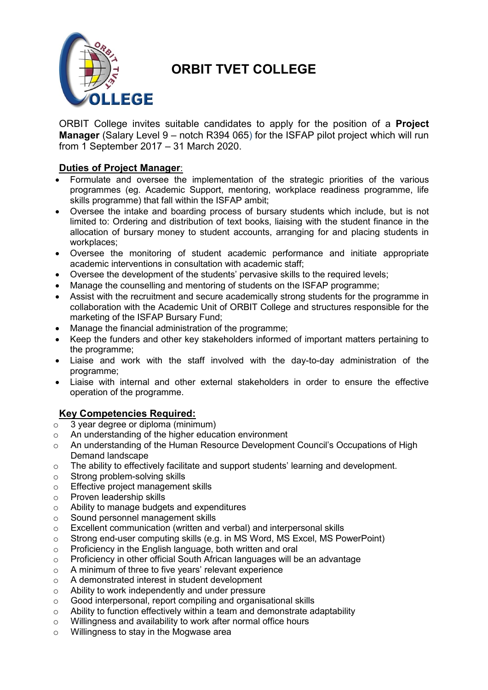

# **ORBIT TVET COLLEGE**

ORBIT College invites suitable candidates to apply for the position of a **Project Manager** (Salary Level 9 – notch R394 065) for the ISFAP pilot project which will run from 1 September 2017 – 31 March 2020.

## **Duties of Project Manager**:

- Formulate and oversee the implementation of the strategic priorities of the various programmes (eg. Academic Support, mentoring, workplace readiness programme, life skills programme) that fall within the ISFAP ambit;
- Oversee the intake and boarding process of bursary students which include, but is not limited to: Ordering and distribution of text books, liaising with the student finance in the allocation of bursary money to student accounts, arranging for and placing students in workplaces;
- Oversee the monitoring of student academic performance and initiate appropriate academic interventions in consultation with academic staff;
- Oversee the development of the students' pervasive skills to the required levels;
- Manage the counselling and mentoring of students on the ISFAP programme;
- Assist with the recruitment and secure academically strong students for the programme in collaboration with the Academic Unit of ORBIT College and structures responsible for the marketing of the ISFAP Bursary Fund;
- Manage the financial administration of the programme:
- Keep the funders and other key stakeholders informed of important matters pertaining to the programme;
- Liaise and work with the staff involved with the day-to-day administration of the programme;
- Liaise with internal and other external stakeholders in order to ensure the effective operation of the programme.

## **Key Competencies Required:**

- $\circ$  3 year degree or diploma (minimum)
- o An understanding of the higher education environment
- o An understanding of the Human Resource Development Council's Occupations of High Demand landscape
- o The ability to effectively facilitate and support students' learning and development.
- o Strong problem-solving skills
- o Effective project management skills
- o Proven leadership skills
- o Ability to manage budgets and expenditures
- o Sound personnel management skills
- o Excellent communication (written and verbal) and interpersonal skills
- $\circ$  Strong end-user computing skills (e.g. in MS Word, MS Excel, MS PowerPoint)
- o Proficiency in the English language, both written and oral
- $\circ$  Proficiency in other official South African languages will be an advantage
- o A minimum of three to five years' relevant experience
- o A demonstrated interest in student development
- o Ability to work independently and under pressure
- o Good interpersonal, report compiling and organisational skills
- $\circ$  Ability to function effectively within a team and demonstrate adaptability
- o Willingness and availability to work after normal office hours
- o Willingness to stay in the Mogwase area